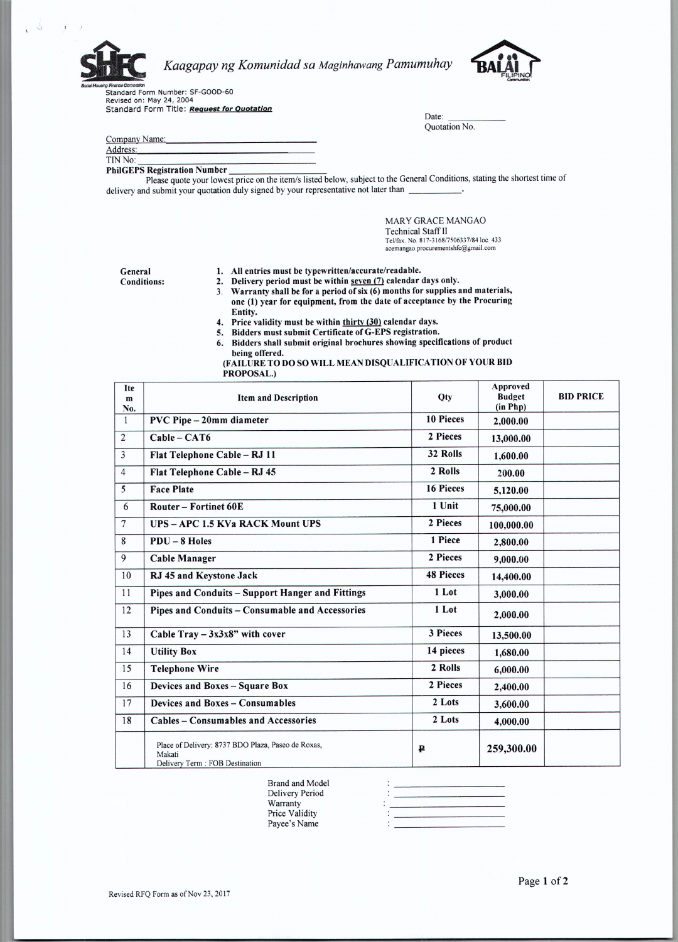

## *Kaagapay ng Komunidad sa Maginhawang Pamumuhay*

*soat~hc'U~* Standard Form Number: SF-GOOD-60 Revised on: May 24, 2004 Standard Form Title: *Request for Quotation*

| Company Name: |  |
|---------------|--|
| Address:      |  |

TIN No:

## PhilGEPS Registration Number

Please quote your lowest price on the item/s listed below, subject to the General Conditions, stating the shortest time of delivery and submit your quotation duly signed by your representative not later than \_

> MARY GRACE MANGAO Technical Staff 11 Tel/fax. No. 817-3168/7506337/84 loc. 433 acemangao.procurementshfc@gmail.com

Date: Quotation No.

General Conditions:

- 1. All entries must be typewritten/accurate/readable.
- 2. Delivery period must be within seven (7) calendar days only.
- 3. Warranty shall be for a period of  $six(6)$  months for supplies and materials, one (1) year for equipment, from the date of acceptance by the Procuring Entity.
- 4. Price validity must be within thirty (30) calendar days.
- S. Bidders must submit Certificate of G-EPS registration.
- 6. Bidders shall submit original brochures showing specifications of product being offered.
- (FAILURE TO DO SO WILL MEAN DISQUALIFICATION OF YOUR BID PROPOSAL.)

| Ite<br>m<br>No. | <b>Item and Description</b>                                                                     | Otv              | Approved<br><b>Budget</b><br>(in Php) | <b>BID PRICE</b> |
|-----------------|-------------------------------------------------------------------------------------------------|------------------|---------------------------------------|------------------|
| $\mathbf{1}$    | PVC Pipe - 20mm diameter                                                                        |                  | 2.000.00                              |                  |
| $\overline{2}$  | $Cable - CAT6$                                                                                  | 2 Pieces         | 13,000.00                             |                  |
| $\overline{3}$  | Flat Telephone Cable - RJ 11                                                                    | 32 Rolls         | 1.600.00                              |                  |
| $\overline{4}$  | Flat Telephone Cable - RJ 45                                                                    | 2 Rolls          | 200.00                                |                  |
| $\overline{5}$  | <b>Face Plate</b>                                                                               | 16 Pieces        | 5,120.00                              |                  |
| 6               | <b>Router - Fortinet 60E</b>                                                                    | 1 Unit           | 75,000.00                             |                  |
| $\overline{7}$  | <b>UPS-APC 1.5 KVa RACK Mount UPS</b>                                                           | 2 Pieces         | 100,000.00                            |                  |
| 8               | $PDU - 8$ Holes                                                                                 | 1 Piece          | 2,800.00                              |                  |
| 9               | <b>Cable Manager</b>                                                                            | 2 Pieces         | 9,000.00                              |                  |
| 10              | RJ 45 and Keystone Jack                                                                         | <b>48 Pieces</b> | 14,400.00                             |                  |
| 11              | Pipes and Conduits - Support Hanger and Fittings                                                | 1 Lot            | 3,000.00                              |                  |
| 12              | Pipes and Conduits - Consumable and Accessories                                                 | 1 Lot            | 2,000.00                              |                  |
| 13              | Cable Tray $-3x3x8$ " with cover                                                                | <b>3 Pieces</b>  | 13,500.00                             |                  |
| 14              | <b>Utility Box</b>                                                                              | 14 pieces        | 1,680.00                              |                  |
| 15              | <b>Telephone Wire</b>                                                                           | 2 Rolls          | 6,000.00                              |                  |
| 16              | Devices and Boxes - Square Box                                                                  | 2 Pieces         | 2,400.00                              |                  |
| 17              | Devices and Boxes - Consumables                                                                 | 2 Lots           | 3,600.00                              |                  |
| 18              | <b>Cables - Consumables and Accessories</b>                                                     | 2 Lots           | 4,000.00                              |                  |
|                 | Place of Delivery: 8737 BDO Plaza, Paseo de Roxas,<br>Makati<br>Delivery Term : FOB Destination | ₽                | 259,300.00                            |                  |

Brand and Model Delivery Period Warranty Price Validity Payee's Name

|  | ٠ |  | <u>The Maryland School and Communication and Communication and Communication and Communication and Communication</u> |       |
|--|---|--|----------------------------------------------------------------------------------------------------------------------|-------|
|  |   |  |                                                                                                                      |       |
|  |   |  | the control of the control of the control of the control of the control of                                           |       |
|  |   |  |                                                                                                                      |       |
|  |   |  |                                                                                                                      | _____ |
|  |   |  |                                                                                                                      |       |
|  |   |  |                                                                                                                      |       |